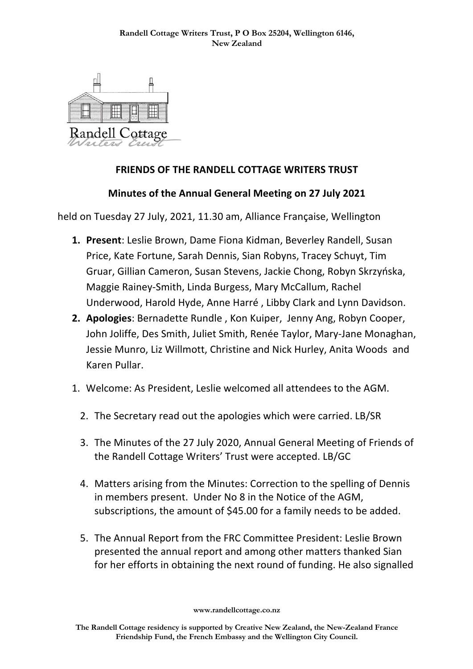

## **FRIENDS OF THE RANDELL COTTAGE WRITERS TRUST**

## **Minutes of the Annual General Meeting on 27 July 2021**

held on Tuesday 27 July, 2021, 11.30 am, Alliance Française, Wellington

- **1. Present**: Leslie Brown, Dame Fiona Kidman, Beverley Randell, Susan Price, Kate Fortune, Sarah Dennis, Sian Robyns, Tracey Schuyt, Tim Gruar, Gillian Cameron, Susan Stevens, Jackie Chong, Robyn Skrzyńska, Maggie Rainey-Smith, Linda Burgess, Mary McCallum, Rachel Underwood, Harold Hyde, Anne Harré , Libby Clark and Lynn Davidson.
- **2. Apologies**: Bernadette Rundle , Kon Kuiper, Jenny Ang, Robyn Cooper, John Joliffe, Des Smith, Juliet Smith, Renée Taylor, Mary-Jane Monaghan, Jessie Munro, Liz Willmott, Christine and Nick Hurley, Anita Woods and Karen Pullar.
- 1. Welcome: As President, Leslie welcomed all attendees to the AGM.
	- 2. The Secretary read out the apologies which were carried. LB/SR
	- 3. The Minutes of the 27 July 2020, Annual General Meeting of Friends of the Randell Cottage Writers' Trust were accepted. LB/GC
	- 4. Matters arising from the Minutes: Correction to the spelling of Dennis in members present. Under No 8 in the Notice of the AGM, subscriptions, the amount of \$45.00 for a family needs to be added.
	- 5. The Annual Report from the FRC Committee President: Leslie Brown presented the annual report and among other matters thanked Sian for her efforts in obtaining the next round of funding. He also signalled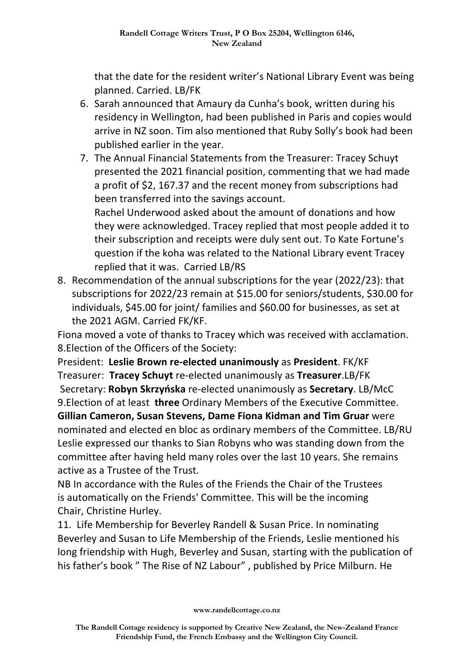that the date for the resident writer's National Library Event was being planned. Carried. LB/FK

- 6. Sarah announced that Amaury da Cunha's book, written during his residency in Wellington, had been published in Paris and copies would arrive in NZ soon. Tim also mentioned that Ruby Solly's book had been published earlier in the year.
- 7. The Annual Financial Statements from the Treasurer: Tracey Schuyt presented the 2021 financial position, commenting that we had made a profit of \$2, 167.37 and the recent money from subscriptions had been transferred into the savings account.

Rachel Underwood asked about the amount of donations and how they were acknowledged. Tracey replied that most people added it to their subscription and receipts were duly sent out. To Kate Fortune's question if the koha was related to the National Library event Tracey replied that it was. Carried LB/RS

8. Recommendation of the annual subscriptions for the year (2022/23): that subscriptions for 2022/23 remain at \$15.00 for seniors/students, \$30.00 for individuals, \$45.00 for joint/ families and \$60.00 for businesses, as set at the 2021 AGM. Carried FK/KF.

Fiona moved a vote of thanks to Tracey which was received with acclamation. 8.Election of the Officers of the Society:

President: **Leslie Brown re-elected unanimously** as **President**. FK/KF Treasurer: **Tracey Schuyt** re-elected unanimously as **Treasurer**.LB/FK Secretary: **Robyn Skrzyńska** re-elected unanimously as **Secretary**. LB/McC 9.Election of at least **three** Ordinary Members of the Executive Committee. **Gillian Cameron, Susan Stevens, Dame Fiona Kidman and Tim Gruar** were nominated and elected en bloc as ordinary members of the Committee. LB/RU Leslie expressed our thanks to Sian Robyns who was standing down from the committee after having held many roles over the last 10 years. She remains active as a Trustee of the Trust.

NB In accordance with the Rules of the Friends the Chair of the Trustees is automatically on the Friends' Committee. This will be the incoming Chair, Christine Hurley.

11. Life Membership for Beverley Randell & Susan Price. In nominating Beverley and Susan to Life Membership of the Friends, Leslie mentioned his long friendship with Hugh, Beverley and Susan, starting with the publication of his father's book " The Rise of NZ Labour" , published by Price Milburn. He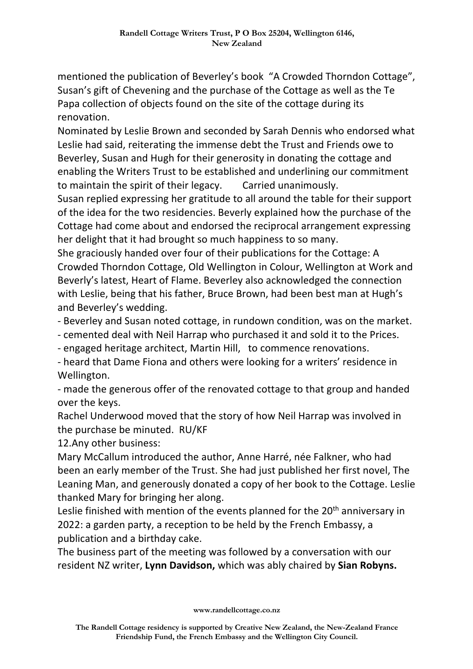mentioned the publication of Beverley's book "A Crowded Thorndon Cottage", Susan's gift of Chevening and the purchase of the Cottage as well as the Te Papa collection of objects found on the site of the cottage during its renovation.

Nominated by Leslie Brown and seconded by Sarah Dennis who endorsed what Leslie had said, reiterating the immense debt the Trust and Friends owe to Beverley, Susan and Hugh for their generosity in donating the cottage and enabling the Writers Trust to be established and underlining our commitment to maintain the spirit of their legacy. Carried unanimously.

Susan replied expressing her gratitude to all around the table for their support of the idea for the two residencies. Beverly explained how the purchase of the Cottage had come about and endorsed the reciprocal arrangement expressing her delight that it had brought so much happiness to so many.

She graciously handed over four of their publications for the Cottage: A Crowded Thorndon Cottage, Old Wellington in Colour, Wellington at Work and Beverly's latest, Heart of Flame. Beverley also acknowledged the connection with Leslie, being that his father, Bruce Brown, had been best man at Hugh's and Beverley's wedding.

- Beverley and Susan noted cottage, in rundown condition, was on the market.

- cemented deal with Neil Harrap who purchased it and sold it to the Prices.

- engaged heritage architect, Martin Hill, to commence renovations.

- heard that Dame Fiona and others were looking for a writers' residence in Wellington.

- made the generous offer of the renovated cottage to that group and handed over the keys.

Rachel Underwood moved that the story of how Neil Harrap was involved in the purchase be minuted. RU/KF

12.Any other business:

Mary McCallum introduced the author, Anne Harré, née Falkner, who had been an early member of the Trust. She had just published her first novel, The Leaning Man, and generously donated a copy of her book to the Cottage. Leslie thanked Mary for bringing her along.

Leslie finished with mention of the events planned for the 20<sup>th</sup> anniversary in 2022: a garden party, a reception to be held by the French Embassy, a publication and a birthday cake.

The business part of the meeting was followed by a conversation with our resident NZ writer, **Lynn Davidson,** which was ably chaired by **Sian Robyns.**